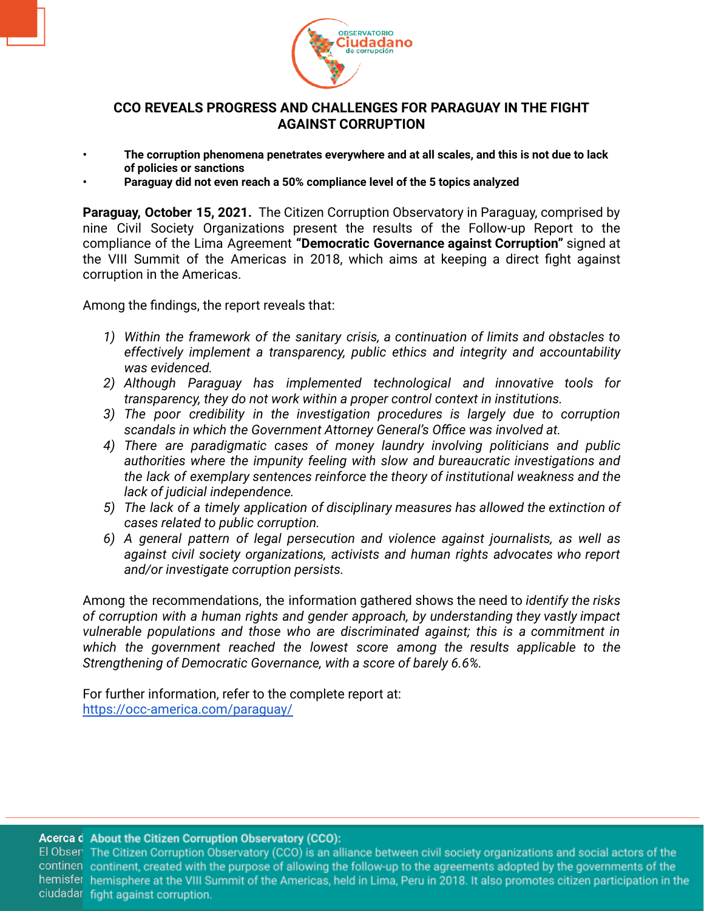

## **CCO REVEALS PROGRESS AND CHALLENGES FOR PARAGUAY IN THE FIGHT AGAINST CORRUPTION**

- **• The corruption phenomena penetrates everywhere and at all scales, and this is not due to lack of policies or sanctions**
- **• Paraguay did not even reach a 50% compliance level of the 5 topics analyzed**

**Paraguay, October 15, 2021.** The Citizen Corruption Observatory in Paraguay, comprised by nine Civil Society Organizations present the results of the Follow-up Report to the compliance of the Lima Agreement **"Democratic Governance against Corruption"** signed at the VIII Summit of the Americas in 2018, which aims at keeping a direct fight against corruption in the Americas.

Among the findings, the report reveals that:

- *1) Within the framework of the sanitary crisis, a continuation of limits and obstacles to effectively implement a transparency, public ethics and integrity and accountability was evidenced.*
- *2) Although Paraguay has implemented technological and innovative tools for transparency, they do not work within a proper control context in institutions.*
- *3) The poor credibility in the investigation procedures is largely due to corruption scandals in which the Government Attorney General's Office was involved at.*
- *4) There are paradigmatic cases of money laundry involving politicians and public authorities where the impunity feeling with slow and bureaucratic investigations and the lack of exemplary sentences reinforce the theory of institutional weakness and the lack of judicial independence.*
- *5) The lack of a timely application of disciplinary measures has allowed the extinction of cases related to public corruption.*
- *6) A general pattern of legal persecution and violence against journalists, as well as against civil society organizations, activists and human rights advocates who report and/or investigate corruption persists.*

Among the recommendations, the information gathered shows the need to *identify the risks of corruption with a human rights and gender approach, by understanding they vastly impact vulnerable populations and those who are discriminated against; this is a commitment in which the government reached the lowest score among the results applicable to the Strengthening of Democratic Governance, with a score of barely 6.6%.*

For further information, refer to the complete report at: <https://occ-america.com/paraguay/>

## Acerca d About the Citizen Corruption Observatory (CCO):

El Obser The Citizen Corruption Observatory (CCO) is an alliance between civil society organizations and social actors of the continen continent, created with the purpose of allowing the follow-up to the agreements adopted by the governments of the hemisfer hemisphere at the VIII Summit of the Americas, held in Lima, Peru in 2018. It also promotes citizen participation in the ciudadar fight against corruption.